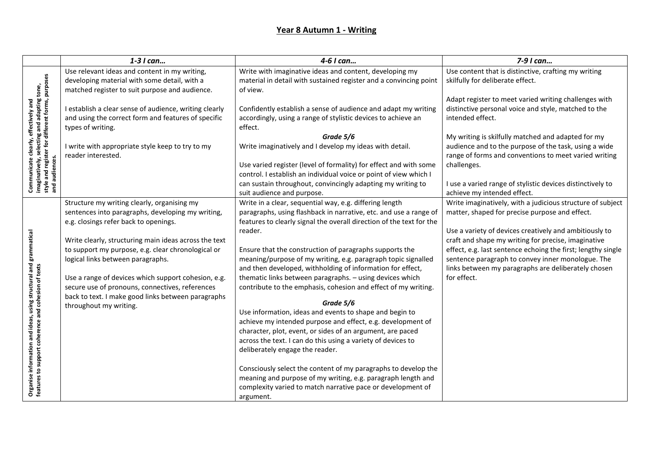|                                                                                                                                                           | 1-3 I can                                              | 4-6 I can                                                                                                                   | 7-9 I can                                                                                                |
|-----------------------------------------------------------------------------------------------------------------------------------------------------------|--------------------------------------------------------|-----------------------------------------------------------------------------------------------------------------------------|----------------------------------------------------------------------------------------------------------|
| Communicate clearly, effectively and<br>imaginatively, selecting and adapting tone,<br>style and register for different forms, purposes<br>and audiences. | Use relevant ideas and content in my writing,          | Write with imaginative ideas and content, developing my                                                                     | Use content that is distinctive, crafting my writing                                                     |
|                                                                                                                                                           | developing material with some detail, with a           | material in detail with sustained register and a convincing point                                                           | skilfully for deliberate effect.                                                                         |
|                                                                                                                                                           | matched register to suit purpose and audience.         | of view.                                                                                                                    |                                                                                                          |
|                                                                                                                                                           |                                                        |                                                                                                                             | Adapt register to meet varied writing challenges with                                                    |
|                                                                                                                                                           | I establish a clear sense of audience, writing clearly | Confidently establish a sense of audience and adapt my writing                                                              | distinctive personal voice and style, matched to the                                                     |
|                                                                                                                                                           | and using the correct form and features of specific    | accordingly, using a range of stylistic devices to achieve an                                                               | intended effect.                                                                                         |
|                                                                                                                                                           | types of writing.                                      | effect.                                                                                                                     |                                                                                                          |
|                                                                                                                                                           |                                                        | Grade 5/6                                                                                                                   | My writing is skilfully matched and adapted for my                                                       |
|                                                                                                                                                           | I write with appropriate style keep to try to my       | Write imaginatively and I develop my ideas with detail.                                                                     | audience and to the purpose of the task, using a wide                                                    |
|                                                                                                                                                           | reader interested.                                     |                                                                                                                             | range of forms and conventions to meet varied writing                                                    |
|                                                                                                                                                           |                                                        | Use varied register (level of formality) for effect and with some                                                           | challenges.                                                                                              |
|                                                                                                                                                           |                                                        | control. I establish an individual voice or point of view which I                                                           |                                                                                                          |
|                                                                                                                                                           |                                                        | can sustain throughout, convincingly adapting my writing to                                                                 | I use a varied range of stylistic devices distinctively to                                               |
|                                                                                                                                                           |                                                        | suit audience and purpose.                                                                                                  | achieve my intended effect.                                                                              |
|                                                                                                                                                           | Structure my writing clearly, organising my            | Write in a clear, sequential way, e.g. differing length                                                                     | Write imaginatively, with a judicious structure of subject                                               |
|                                                                                                                                                           | sentences into paragraphs, developing my writing,      | paragraphs, using flashback in narrative, etc. and use a range of                                                           | matter, shaped for precise purpose and effect.                                                           |
|                                                                                                                                                           | e.g. closings refer back to openings.                  | features to clearly signal the overall direction of the text for the                                                        |                                                                                                          |
|                                                                                                                                                           |                                                        | reader.                                                                                                                     | Use a variety of devices creatively and ambitiously to                                                   |
|                                                                                                                                                           | Write clearly, structuring main ideas across the text  |                                                                                                                             | craft and shape my writing for precise, imaginative                                                      |
|                                                                                                                                                           | to support my purpose, e.g. clear chronological or     | Ensure that the construction of paragraphs supports the                                                                     | effect, e.g. last sentence echoing the first; lengthy single                                             |
|                                                                                                                                                           | logical links between paragraphs.                      | meaning/purpose of my writing, e.g. paragraph topic signalled<br>and then developed, withholding of information for effect, | sentence paragraph to convey inner monologue. The<br>links between my paragraphs are deliberately chosen |
| structural and grammatical                                                                                                                                | Use a range of devices which support cohesion, e.g.    | thematic links between paragraphs. - using devices which                                                                    | for effect.                                                                                              |
|                                                                                                                                                           | secure use of pronouns, connectives, references        | contribute to the emphasis, cohesion and effect of my writing.                                                              |                                                                                                          |
|                                                                                                                                                           | back to text. I make good links between paragraphs     |                                                                                                                             |                                                                                                          |
| Organise information and ideas, using structural and<br>features to support coherence and cohesion of texts                                               | throughout my writing.                                 | Grade 5/6                                                                                                                   |                                                                                                          |
|                                                                                                                                                           |                                                        | Use information, ideas and events to shape and begin to                                                                     |                                                                                                          |
|                                                                                                                                                           |                                                        | achieve my intended purpose and effect, e.g. development of                                                                 |                                                                                                          |
|                                                                                                                                                           |                                                        | character, plot, event, or sides of an argument, are paced                                                                  |                                                                                                          |
|                                                                                                                                                           |                                                        | across the text. I can do this using a variety of devices to                                                                |                                                                                                          |
|                                                                                                                                                           |                                                        | deliberately engage the reader.                                                                                             |                                                                                                          |
|                                                                                                                                                           |                                                        | Consciously select the content of my paragraphs to develop the                                                              |                                                                                                          |
|                                                                                                                                                           |                                                        | meaning and purpose of my writing, e.g. paragraph length and                                                                |                                                                                                          |
|                                                                                                                                                           |                                                        | complexity varied to match narrative pace or development of                                                                 |                                                                                                          |
|                                                                                                                                                           |                                                        | argument.                                                                                                                   |                                                                                                          |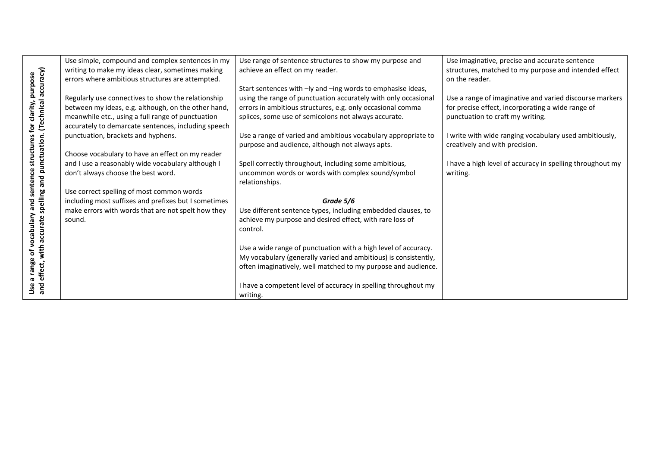|                                                                                      | Use simple, compound and complex sentences in my     | Use range of sentence structures to show my purpose and         | Use imaginative, precise and accurate sentence            |
|--------------------------------------------------------------------------------------|------------------------------------------------------|-----------------------------------------------------------------|-----------------------------------------------------------|
|                                                                                      | writing to make my ideas clear, sometimes making     | achieve an effect on my reader.                                 | structures, matched to my purpose and intended effect     |
|                                                                                      | errors where ambitious structures are attempted.     |                                                                 | on the reader.                                            |
|                                                                                      |                                                      | Start sentences with -ly and -ing words to emphasise ideas,     |                                                           |
|                                                                                      | Regularly use connectives to show the relationship   | using the range of punctuation accurately with only occasional  | Use a range of imaginative and varied discourse markers   |
|                                                                                      | between my ideas, e.g. although, on the other hand,  | errors in ambitious structures, e.g. only occasional comma      | for precise effect, incorporating a wide range of         |
|                                                                                      | meanwhile etc., using a full range of punctuation    | splices, some use of semicolons not always accurate.            | punctuation to craft my writing.                          |
|                                                                                      | accurately to demarcate sentences, including speech  |                                                                 |                                                           |
| sentence structures for clarity, purpose<br>ng and punctuation. (Technical accuracy) | punctuation, brackets and hyphens.                   | Use a range of varied and ambitious vocabulary appropriate to   | I write with wide ranging vocabulary used ambitiously,    |
|                                                                                      |                                                      | purpose and audience, although not always apts.                 | creatively and with precision.                            |
|                                                                                      | Choose vocabulary to have an effect on my reader     |                                                                 |                                                           |
|                                                                                      | and I use a reasonably wide vocabulary although I    | Spell correctly throughout, including some ambitious,           | I have a high level of accuracy in spelling throughout my |
|                                                                                      | don't always choose the best word.                   | uncommon words or words with complex sound/symbol               | writing.                                                  |
|                                                                                      |                                                      | relationships.                                                  |                                                           |
|                                                                                      | Use correct spelling of most common words            |                                                                 |                                                           |
|                                                                                      | including most suffixes and prefixes but I sometimes | Grade 5/6                                                       |                                                           |
|                                                                                      | make errors with words that are not spelt how they   | Use different sentence types, including embedded clauses, to    |                                                           |
|                                                                                      | sound.                                               | achieve my purpose and desired effect, with rare loss of        |                                                           |
|                                                                                      |                                                      | control.                                                        |                                                           |
|                                                                                      |                                                      | Use a wide range of punctuation with a high level of accuracy.  |                                                           |
|                                                                                      |                                                      | My vocabulary (generally varied and ambitious) is consistently, |                                                           |
|                                                                                      |                                                      | often imaginatively, well matched to my purpose and audience.   |                                                           |
| a range of vocabulary and ser<br>effect, with accurate spelling                      |                                                      |                                                                 |                                                           |
|                                                                                      |                                                      | I have a competent level of accuracy in spelling throughout my  |                                                           |
| pue<br>S                                                                             |                                                      | writing.                                                        |                                                           |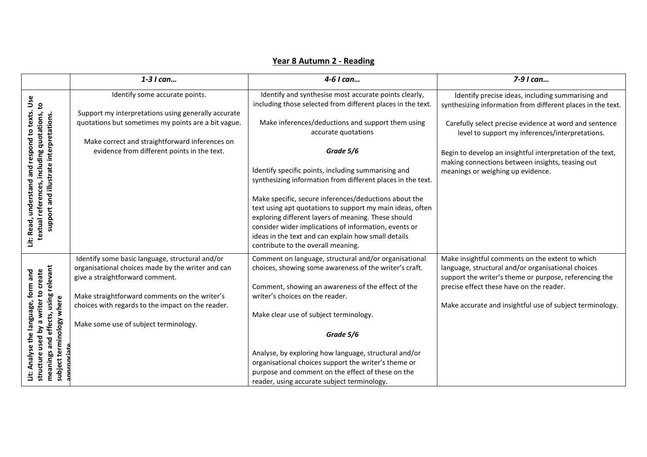|                                                                                                                                                                 | $1-3$ I can                                                                                                                                       | 4-6 I can                                                                                                                                                                                                                                                                                                                       | 7-9 I can                                                                                                                                                       |
|-----------------------------------------------------------------------------------------------------------------------------------------------------------------|---------------------------------------------------------------------------------------------------------------------------------------------------|---------------------------------------------------------------------------------------------------------------------------------------------------------------------------------------------------------------------------------------------------------------------------------------------------------------------------------|-----------------------------------------------------------------------------------------------------------------------------------------------------------------|
| Use<br>textual references, including quotations, to<br>texts.<br>support and illustrate interpretations.<br>ខ្ព<br>respond<br>ರ<br>ă<br>understand<br>Lit: Read | Identify some accurate points.<br>Support my interpretations using generally accurate                                                             | Identify and synthesise most accurate points clearly,<br>including those selected from different places in the text.                                                                                                                                                                                                            | Identify precise ideas, including summarising and<br>synthesizing information from different places in the text.                                                |
|                                                                                                                                                                 | quotations but sometimes my points are a bit vague.                                                                                               | Make inferences/deductions and support them using<br>accurate quotations                                                                                                                                                                                                                                                        | Carefully select precise evidence at word and sentence<br>level to support my inferences/interpretations.                                                       |
|                                                                                                                                                                 | Make correct and straightforward inferences on                                                                                                    |                                                                                                                                                                                                                                                                                                                                 |                                                                                                                                                                 |
|                                                                                                                                                                 |                                                                                                                                                   |                                                                                                                                                                                                                                                                                                                                 | Begin to develop an insightful interpretation of the text,                                                                                                      |
|                                                                                                                                                                 |                                                                                                                                                   | Identify specific points, including summarising and<br>synthesizing information from different places in the text.                                                                                                                                                                                                              | meanings or weighing up evidence.                                                                                                                               |
|                                                                                                                                                                 |                                                                                                                                                   | Make specific, secure inferences/deductions about the<br>text using apt quotations to support my main ideas, often<br>exploring different layers of meaning. These should<br>consider wider implications of information, events or<br>ideas in the text and can explain how small details<br>contribute to the overall meaning. |                                                                                                                                                                 |
|                                                                                                                                                                 | Identify some basic language, structural and/or<br>organisational choices made by the writer and can<br>give a straightforward comment.           | Comment on language, structural and/or organisational<br>choices, showing some awareness of the writer's craft.                                                                                                                                                                                                                 | Make insightful comments on the extent to which<br>language, structural and/or organisational choices<br>support the writer's theme or purpose, referencing the |
|                                                                                                                                                                 |                                                                                                                                                   |                                                                                                                                                                                                                                                                                                                                 |                                                                                                                                                                 |
|                                                                                                                                                                 |                                                                                                                                                   |                                                                                                                                                                                                                                                                                                                                 | Make accurate and insightful use of subject terminology.                                                                                                        |
|                                                                                                                                                                 |                                                                                                                                                   | Make clear use of subject terminology.                                                                                                                                                                                                                                                                                          |                                                                                                                                                                 |
|                                                                                                                                                                 | Make some use of subject terminology.                                                                                                             |                                                                                                                                                                                                                                                                                                                                 |                                                                                                                                                                 |
| <b>sed</b>                                                                                                                                                      |                                                                                                                                                   | Grade 5/6                                                                                                                                                                                                                                                                                                                       |                                                                                                                                                                 |
|                                                                                                                                                                 |                                                                                                                                                   | Analyse, by exploring how language, structural and/or                                                                                                                                                                                                                                                                           |                                                                                                                                                                 |
|                                                                                                                                                                 |                                                                                                                                                   |                                                                                                                                                                                                                                                                                                                                 |                                                                                                                                                                 |
|                                                                                                                                                                 |                                                                                                                                                   |                                                                                                                                                                                                                                                                                                                                 |                                                                                                                                                                 |
| meanings and effects, using relevant<br>by a writer to create<br>form and<br>terminology where<br>anguage,<br>structur<br>subject<br>Ë                          | evidence from different points in the text.<br>Make straightforward comments on the writer's<br>choices with regards to the impact on the reader. | Grade 5/6<br>Comment, showing an awareness of the effect of the<br>writer's choices on the reader.<br>organisational choices support the writer's theme or<br>purpose and comment on the effect of these on the<br>reader, using accurate subject terminology.                                                                  | making connections between insights, teasing out<br>precise effect these have on the reader.                                                                    |

## **Year 8 Autumn 2 - Reading**